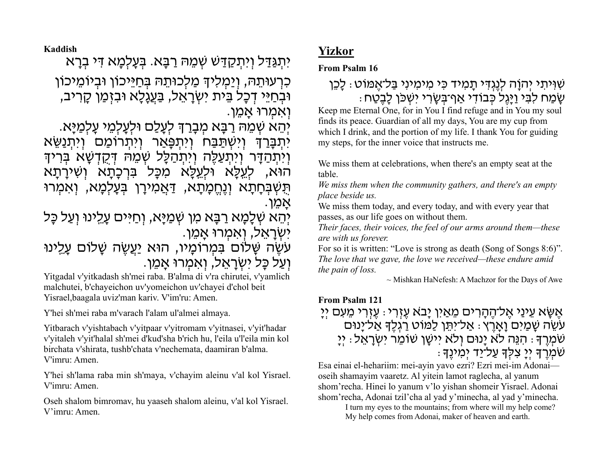**Kaddish**

יִתְ גַּדַּ ל וְ יִתְ קַ דַּ שׁ שְׁ מֵ הּ רַ בָּ א . בְּ עָ לְמָ א דִּ י בְ רָ א

כִרְעוּתֵהּ, וְיַמְלִיךְ מַלְכוּתֵהּ בְּחַיֵּיכוֹן וּבִיוֹמֵיכוֹן וּבְחַיֵּי דִכָל בֵּית יִשְׂרָאֵל, בַּעֲגָלָא וּבִזְמַן קָרִיב, ֿ וְאִמְרוּ אֲמֵן.

יְהֵא שְׁמֵהּ רַבָּא מְבָרַךְ לְעָלַם וּלְעָלְמֵי עָלְמַיָּא.

יִתְבָּרַךְּ וְיִשְׁתַּבַּח וְיִתְפָּאַר וְיִתְרוֹמַם וְיִתְנַשֵּׂא וְיִתְהַדָּר וְיִתְעַלֵּה וְיִתְהַלָּל שְׁמֵהּ דְּקָדְשָׁא בְּרִיךָ הוּא, לְעֵכָּא וּלְעֵכָּא מִכָּל בִּרְכָתָא וְשִׁירָתָא תְּשְׁבְּחָתָא וְנֶחֱמָתָא, <u>ד</u>ּאֲמִירָן בְּעָלְמָא, וְאִמְרוּ ּאֲמֶן.

יְהֵא שְׁלָמָא רַבָּא מִן שְׁמַיַּא, וְחַיִּּים עָלֵינוּ וְעַל כָּל יִשְׂרָאֵל, וְאִמְרוּ אֲמֵן.

עִשֶׂה שָׁלוֹם בִּמְרוֹמָיו, הוּא <u>יַעֲשֶׂ</u>ה שָׁלוֹם עָלֵינוּ ּוְעַל כָּל יִשְׂרָאֵל, וְאִמְרוּ אֲמֵן.

Yitgadal v'yitkadash sh'mei raba. B'alma di v'ra chirutei, v'yamlich malchutei, b'chayeichon uv'yomeichon uv'chayei d'chol beit Yisrael,baagala uviz'man kariv. V'im'ru: Amen.

Y'hei sh'mei raba m'varach l'alam ul'almei almaya.

Yitbarach v'yishtabach v'yitpaar v'yitromam v'yitnasei, v'yit'hadar v'yitaleh v'yit'halal sh'mei d'kud'sha b'rich hu, l'eila u'l'eila min kol birchata v'shirata, tushb'chata v'nechemata, daamiran b'alma. V'imru: Amen.

Y'hei sh'lama raba min sh'maya, v'chayim aleinu v'al kol Yisrael. V'imru: Amen.

Oseh shalom bimromav, hu yaaseh shalom aleinu, v'al kol Yisrael. V'imru: Amen.

# **Yizkor**

**From Psalm 16**

## שִׁ וִּ יתִ י יְהוָֹה לְנֶגְ דִּ י תָ מִ יד כִּ י מִ ימִ ינִי בַּ ל־אֶ מּוֹט: לָכֵן שֵׁמַח לִבְּי וַיַּגֵל כְּבוֹדִי אַף־בִּשֶׂרִי יִשְׁכֹּן לַבְטַח

Keep me Eternal One, for in You I find refuge and in You my soul finds its peace. Guardian of all my days, You are my cup from which I drink, and the portion of my life. I thank You for guiding my steps, for the inner voice that instructs me.

We miss them at celebrations, when there's an empty seat at the table.

*We miss them when the community gathers, and there's an empty place beside us.* 

We miss them today, and every today, and with every year that passes, as our life goes on without them.

*Their faces, their voices, the feel of our arms around them—these are with us forever.* 

For so it is written: "Love is strong as death (Song of Songs 8:6)". *The love that we gave, the love we received—these endure amid the pain of loss.*

 $\sim$  Mishkan HaNefesh: A Machzor for the Days of Awe

### **From Psalm 121**

אֶ שָּׂ א עֵ ינַי אֶ ל־הֶ הָ רִ ים מֵ אַ יִן יָב ֹא עֶ זְ רִ י: עֶ זְ רִ י מֵ עִ ם יְיָ עֹשֶׂה שַׁמַיִּם וַאֲרֵץ : אַל־יִתֵּן לַמּוֹט רַגְלֵךְ אַל־יָנוּם ַ יִּטְמְרֶךָ : הִנֶּה לֹא יַנוּם וְלֹא יִישֵׁן שׁוֹמֵר יְשְׂרָאֵל : יִי שֹׁמְ רֶ ָך יְיָ צִ לְָּך עַ ל־יַד יְמִ ינֶָך:

Esa einai el-hehariim: mei-ayin yavo ezri? Ezri mei-im Adonai oseih shamayim vaaretz. Al yitein lamot raglecha, al yanum shom'recha. Hinei lo yanum v'lo yishan shomeir Yisrael. Adonai shom'recha, Adonai tzil'cha al yad y'minecha, al yad y'minecha.

> I turn my eyes to the mountains; from where will my help come? My help comes from Adonai, maker of heaven and earth.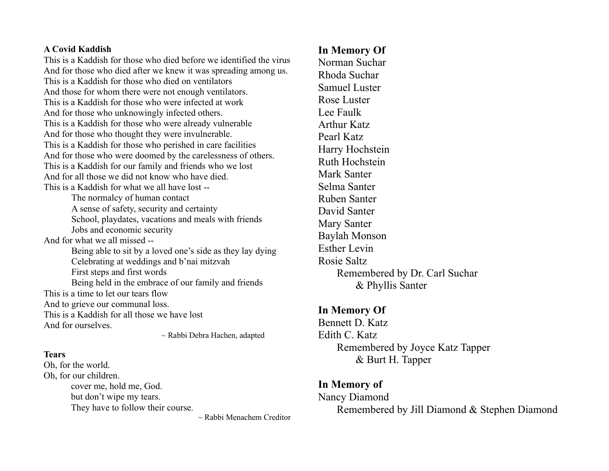#### **A Covid Kaddish**

This is a Kaddish for those who died before we identified the virus And for those who died after we knew it was spreading among us. This is a Kaddish for those who died on ventilators And those for whom there were not enough ventilators. This is a Kaddish for those who were infected at work And for those who unknowingly infected others. This is a Kaddish for those who were already vulnerable And for those who thought they were invulnerable. This is a Kaddish for those who perished in care facilities And for those who were doomed by the carelessness of others. This is a Kaddish for our family and friends who we lost And for all those we did not know who have died. This is a Kaddish for what we all have lost --

The normalcy of human contact A sense of safety, security and certainty School, playdates, vacations and meals with friends Jobs and economic security And for what we all missed -- Being able to sit by a loved one's side as they lay dying Celebrating at weddings and b'nai mitzvah First steps and first words Being held in the embrace of our family and friends This is a time to let our tears flow And to grieve our communal loss. This is a Kaddish for all those we have lost And for ourselves.

~ Rabbi Debra Hachen, adapted

#### **Tears**

Oh, for the world. Oh, for our children. cover me, hold me, God. but don't wipe my tears. They have to follow their course.

 $\sim$  Rabbi Menachem Creditor

## **In Memory Of**

Norman Suchar Rhoda Suchar Samuel Luster Rose Luster Lee Faulk Arthur Katz Pearl Katz Harry Hochstein Ruth Hochstein Mark Santer Selma Santer Ruben Santer David Santer Mary Santer Baylah Monson Esther Levin Rosie Saltz Remembered by Dr. Carl Suchar & Phyllis Santer

### **In Memory Of**

Bennett D. Katz Edith C. Katz Remembered by Joyce Katz Tapper & Burt H. Tapper

### **In Memory of**

Nancy Diamond Remembered by Jill Diamond & Stephen Diamond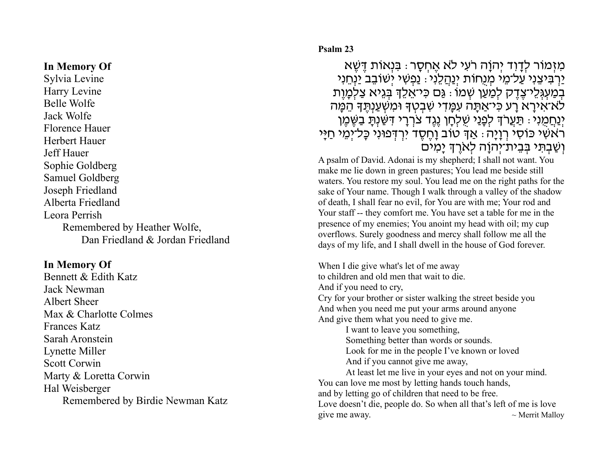#### **In Memory Of**

Sylvia Levine Harry Levine Belle Wolfe Jack Wolfe Florence Hauer Herbert Hauer Jeff Hauer Sophie Goldberg Samuel Goldberg Joseph Friedland Alberta Friedland Leora Perrish Remembered by Heather Wolfe, Dan Friedland & Jordan Friedland

## **In Memory Of**

Bennett & Edith Katz Jack Newman Albert Sheer Max & Charlotte Colmes Frances Katz Sarah Aronstein Lynette Miller Scott Corwin Marty & Loretta Corwin Hal Weisberger Remembered by Birdie Newman Katz

#### **Psalm 23**

מִזְמוֹר לְדַוְד יְהוַה רֹעִי לֹא אֵחְסַר : בִּנְאוֹת דֵּשֶׁא ַיַרְבִּיצֶנִי עַל־מֵי מִנְחוֹת יְנַהֲלֵנִי: נַפְשִׁי יִשׁוֹבֵב יַנְחֵנִי בְמַעְגְּלֵי־צֶדֶק לְמַעַן שְׁמוֹ : גַּם כִּי־אֵלֵדְ בְּגֵיא צַלְמָוֶת לֹא־אִירָא רַע כִּי־אַתָּה עִמַּדִי שִׁבְטְדָ וּמִשְׁעַנְתֵּדְ הֵמֵּה יְנַחֲמֻנִי: תַּעֲרֹךְ לְפָנַי שֵׁלְחָן נֶגֶד צֹרְרָי דִּשַּׁנִתָּ בַשֵּׁמֵן ֿרֹאשִׁי כּוֹסִי רְוָיָה : אַךְּ טוֹב וָחֵסֶד יִרְדְּפוּנִי כָּל־יִמֵי חַיָּי וְשַׁבְתִּי בַּבֵית־יִה<u>ו</u>ֹה לְאֹרֶךְ יַמִים

A psalm of David. Adonai is my shepherd; I shall not want. You make me lie down in green pastures; You lead me beside still waters. You restore my soul. You lead me on the right paths for the sake of Your name. Though I walk through a valley of the shadow of death, I shall fear no evil, for You are with me; Your rod and Your staff -- they comfort me. You have set a table for me in the presence of my enemies; You anoint my head with oil; my cup overflows. Surely goodness and mercy shall follow me all the days of my life, and I shall dwell in the house of God forever.

When I die give what's let of me away to children and old men that wait to die. And if you need to cry, Cry for your brother or sister walking the street beside you And when you need me put your arms around anyone And give them what you need to give me.

I want to leave you something, Something better than words or sounds. Look for me in the people I've known or loved And if you cannot give me away,

At least let me live in your eyes and not on your mind. You can love me most by letting hands touch hands, and by letting go of children that need to be free. Love doesn't die, people do. So when all that's left of me is love give me away.  $\sim$  Merrit Malloy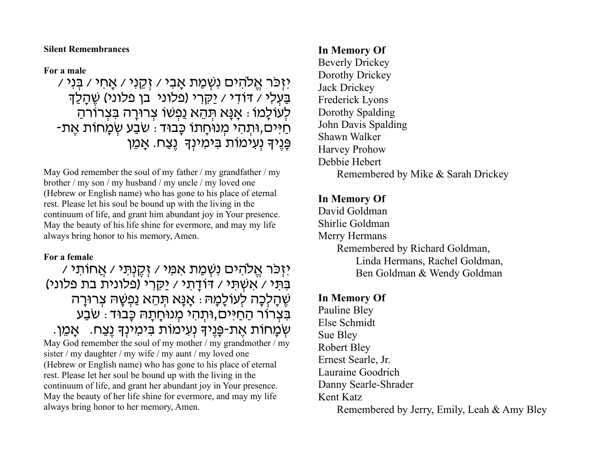**Silent Remembrances**

**For a male**

יִזְכַּר אֱלֹהִים נִשְׁמַת אָבִי / זְקֵנִי / אָחִי / בְּנִי / בַּעְלִי / דּוֹדִי / יַקִּרִי (פלוני בן פלוני) שֶׁהַלַד לְעוֹלָמוֹ : אֲנָא תְּהֶא נַפְשׁוֹ צְרוּרָה בִּצְרוֹרהַ ּ-מִיּים,וּתְהִי מְנוּחָתוֹ כָּבוּד: שִׁבַּע שִׂמְחוֹת אֶת פָּנֵיךָ נְעָימוֹת בִּימִינְךָ נֵצַח. אֲמֵן

May God remember the soul of my father  $/my$  grandfather  $/my$ brother / my son / my husband / my uncle / my loved one (Hebrew or English name) who has gone to his place of eternal rest. Please let his soul be bound up with the living in the continuum of life, and grant him abundant joy in Your presence. May the beauty of his life shine for evermore, and may my life always bring honor to his memory, Amen.

#### **For a female**

יִזְכַּר אֱלֹהִים נִשְׁמַת אִמִּי / זְקֶנְתִּי / אֲחוֹתִי / בִּתִּי / אִשְׁתִּי / דּוֹדָתי / יַקְרִי (פלונית בת פלוני) ְשֶׁהַלְכָה לְעוֹלָמָהּ : אֲנָא תְּהֶא נַפְשָׁהּ צְרוּרָה ַבִּצְרוֹר הַחַיּים,וּתְהִי מִנוּחַתַּהּ כָּבוּד : שֹבַע שְׂמַחוֹת אֶת-פַּנֵיךָ נְעָימוֹת בִּימִינְךָ נֵצַח. אֲמֵן. May God remember the soul of my mother / my grandmother / my sister / my daughter / my wife / my aunt / my loved one (Hebrew or English name) who has gone to his place of eternal rest. Please let her soul be bound up with the living in the continuum of life, and grant her abundant joy in Your presence. May the beauty of her life shine for evermore, and may my life always bring honor to her memory, Amen.

## **In Memory Of**

Beverly Drickey Dorothy Drickey Jack Drickey Frederick Lyons Dorothy Spalding John Davis Spalding Shawn Walker Harvey Prohow Debbie Hebert Remembered by Mike & Sarah Drickey

## **In Memory Of**

David Goldman Shirlie Goldman Merry Hermans Remembered by Richard Goldman, Linda Hermans, Rachel Goldman, Ben Goldman & Wendy Goldman

## **In Memory Of**

Pauline Bley Else Schmidt Sue Bley Robert Bley Ernest Searle, Jr. Lauraine Goodrich Danny Searle-Shrader Kent Katz Remembered by Jerry, Emily, Leah & Amy Bley